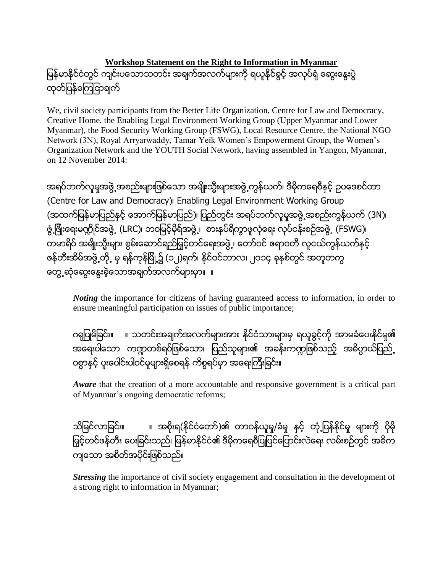## **Workshop Statement on the Right to Information in Myanmar** မြန်မာနိုင်ငံတွင် ကျင်းပသောသတင်း အချက်အလက်များကို ရယူနိုင်ခွင့် အလုပ်ရုံ ဆွေးနွေးပွဲ ထုတ်ပြန်ကြေငြာချက်

We, civil society participants from the Better Life Organization, Centre for Law and Democracy, Creative Home, the Enabling Legal Environment Working Group (Upper Myanmar and Lower Myanmar), the Food Security Working Group (FSWG), Local Resource Centre, the National NGO Network (3N), Royal Arryarwaddy, Tamar Yeik Women's Empowerment Group, the Women's Organization Network and the YOUTH Social Network, having assembled in Yangon, Myanmar, on 12 November 2014:

အရပ်ဘက်လူမှုအဖွဲ့ အစည်းများဖြစ်သော အမျိုးသွီးများအဖွဲ့ ကွန်ယက်၊ ဒီမိုကရေစီနှင့် ဥပဒေစင်တာ (Centre for Law and Democracy)၊ Enabling Legal Environment Working Group (အထက်မြန်မာပြည်နှင့် အောက်မြန်မာပြည်)၊ ပြည်တွင်း အရပ်ဘက်လူမှုအဖွဲ့ အစည်းကွန်ယက် (3N)၊ ဖွံ့ဖြိုးေရးမဏ္ကိုင်အဖွဲ့ (LRC)၊ ဘဝမြင့်မိုရ်အဖွဲ့၊ စားနပ်ရိက္ခာဖူလုံေရး လုပ်ငန်းစဉ်အဖွဲ့ (FSWG)၊ တမာရိပ် အမျိုးသွီးများ စွမ်းေဆာင်ရည်မြင့်တင်ရေးအဖွဲ့ ၊ တော်ဝင် ဧရာဝတီ လူငယ်ကွန်ယက်နှင့် ဖန်တီးအိမ်အဖွဲ့တို့ မှ ရန်ကုန်မြို့၌ (၁၂)ရက်၊ နိုင်ဝင်ဘာလ၊ ၂၀၁၄ ခုနစ်တွင် အတူတကွ ေတြ႕ဆုံေဆြးေႏြးခဲ့ေသာအခ်က္အလက္မ်ားမွာ။ ။

*Noting* the importance for citizens of having guaranteed access to information, in order to ensure meaningful participation on issues of public importance;

ဂရုပြုမိခြင်း။ ။ သတင်းအချက်အလက်များအား နိုင်ငံသားများမှ ရယူခွင့်ကို အာမခံပေးနိုင်မှု၏ အရေးပါေသာ ကဣာတစ်ရပ်ဖြစ်သော၊ ပြည်သူများ၏ အခန်းကဏ္ဍဖြစ်သည့် အဓိပ္ပာယ်ပြည်္ ၀စြာႏွင့္ ပူးေပါင္းပါ၀င္မႈမ်ားရွိေစရန္ ကိစၥရပ္မွာ အေရးၾကီးျခင္း။

*Aware* that the creation of a more accountable and responsive government is a critical part of Myanmar's ongoing democratic reforms;

သိမြင်လာခြင်း။ ။ အစိုးရ(နိုင်ငံတော်)၏ တာဝန်ယူမှု/ခံမှု နှင့် တုံ့ပြန်နိုင်မှု များကို ပိုမို မြှင့်တင်ဖန်တီး ပေးခြင်းသည်၊ မြန်မာနိုင်ငံ၏ ဒီမိုကရေစီပြုပြင်ပြောင်းလဲရေး လမ်းစဉ်တွင် အဓိက ကျသော အစိတ်အပိုင်းဖြစ်သည်။

*Stressing* the importance of civil society engagement and consultation in the development of a strong right to information in Myanmar;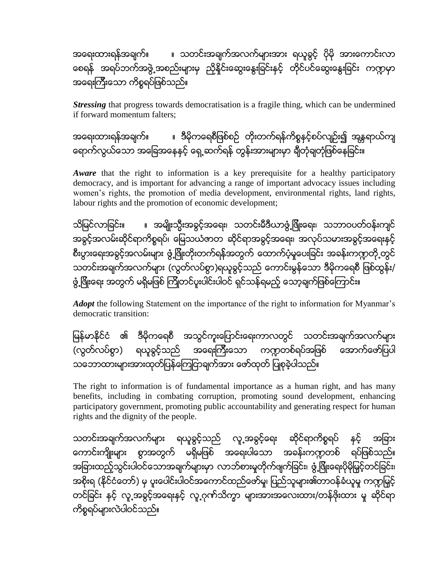အရေးထားရန်အချက်။ ။ သတင်းအချက်အလက်များအား ရယူခွင့် ပိုမို အားကောင်းလာ စေရန် အရပ်ဘက်အဖွဲ့အစည်းများမှ ညိုနိုင်းဆွေးနွေးခြင်းနှင့် တိုင်ပင်ဆွေးနွေးခြင်း ကဏ္ဍမှာ အရေးကြီးသော ကိစ္စရပ်ဖြစ်သည်။

*Stressing* that progress towards democratisation is a fragile thing, which can be undermined if forward momentum falters;

အရေးထားရန်အချက်။ ။ ဒီမိုကရေစီဖြစ်စဉ် တိုးတက်ရန်ကိစ္စနှင့်စပ်လျဉ်း၍ အန္တရာယ်ကျ ေရာက္လြယ္ေသာ အေျခအေနႏွင့္ ေရွ႕ဆက္ရန္ တြန္းအားမ်ားမွာ ခ်ီတုံခ်တုံျဖစ္ေနျခင္း။

*Aware* that the right to information is a key prerequisite for a healthy participatory democracy, and is important for advancing a range of important advocacy issues including women's rights, the promotion of media development, environmental rights, land rights, labour rights and the promotion of economic development;

သိမြင်လာခြင်း။ ။ အမျိုးသွီးအခွင့်အရေး၊ သတင်းမီဒီယာဖွံ့ဖြိုးေရး၊ သဘာဝပတ်ဝန်းကျင် အခွင့်အလမ်းဆိုင်ရာကိစ္စရပ်၊ မြေသယံဇာတ ဆိုင်ရာအခွင့်အရေး၊ အလုပ်သမားအခွင့်အရေးနှင့် စီးပွားေရးအခွင့်အလမ်းများ ဖွံ့ဖြိုးတိုးတက်ရန်အတွက် ထောက်ပံ့မူပေးခြင်း အခန်းကဏ္ဍတို့တွင် သတင်းအချက်အလက်များ (လွတ်လပ်စွာ)ရယူခွင့်သည် ကောင်းမွန်သော ဒီမိုကရေစီ ဖြစ်ထွန်း/ ဖွံ့ဖြိုးေရး အတွက် မရှိမဖြစ် ကြိုတင်ပူးပါင်းပါဝင် ရှင်သန်ရမည့် သော့ချက်ဖြစ်ကြောင်း။

*Adopt* the following Statement on the importance of the right to information for Myanmar's democratic transition:

မြန်မာနိုင်ငံ ၏ ဒီမိုကရေစီ အသွင်ကူးပြောင်းရေးကာလတွင် သတင်းအချက်အလက်များ (လြတ္လပ္စြာ) ရယူခြင့္သည္ အေရးၾကီးေသာ က႑တစ္ရပ္အျဖစ္ ေအာက္ေဖာ္ျပပါ သဘောထားများအားထုတ်ပြန်ကြေငြာချက်အား ဖော်ထုတ် ပြုစုခဲ့ပါသည်။

The right to information is of fundamental importance as a human right, and has many benefits, including in combating corruption, promoting sound development, enhancing participatory government, promoting public accountability and generating respect for human rights and the dignity of the people.

သတင်းအချက်အလက်များ ရယူခွင့်သည် လူ့အခွင့်ရေး ဆိုင်ရာကိစ္စရပ် နှင့် အခြား ကောင်းကျိုးများ စွာအတွက် မရှိမဖြစ် အရေးပါသော အခန်းကဏ္ဍတစ် ရပ်ဖြစ်သည်။ အခြားထည့်သွင်းပါဝင်သောအချက်များမှာ လာဘ်စားမှုတိုက်ဖျက်ခြင်း၊ ဖွံ့ဖြိုးရေးပိုမိုမြှင့်တင်ခြင်း၊ အစိုးရ (နိုင်ငံတော်) မှ ပူးပေါင်းပါဝင်အကောင်ထည်ဖော်မူ၊ ပြည်သူများ၏တာဝန်ခံယူမှု ကဏ္ဍမြှင့် တင်ခြင်း နင့် လူ့အခွင့်အရေးနင့် လူ့ဂုဏ်သိက္ခာ များအားအလေးထား/တန်ဖိုးထား မှု ဆိုင်ရာ ကိစ္စရပ်များလဲပါ၀င်သည်။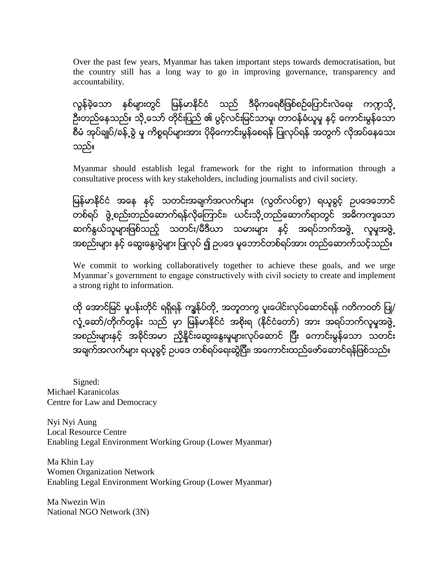Over the past few years, Myanmar has taken important steps towards democratisation, but the country still has a long way to go in improving governance, transparency and accountability.

လွန်ခဲ့ေသာ နစ်များတွင် မြန်မာနိုင်ငံ သည် ဒီမိုကရေစီဖြစ်စဉ်ပြောင်းလဲရေး ကဣာသို္ ဦးတည်နေသည်။ သို့သော် တိုင်းပြည် ၏ ပွင့်လင်းမြင်သာမူ၊ တာဝန်ခံယူမှု နှင့် ကောင်းမွန်သော စီမံ အုပ်ချုပ်/ခန့္ခဲခဲ့ မူ ကိစ္စရပ်များအား ပိုမိုကောင်းမွန်စေရန် ပြုလုပ်ရန် အတွက် လိုအပ်နေသေး သည္။

Myanmar should establish legal framework for the right to information through a consultative process with key stakeholders, including journalists and civil society.

မြန်မာနိုင်ငံ အနေ နှင့် သတင်းအချက်အလက်များ (လွတ်လပ်စွာ) ရယူခွင့် ဥပဒေဘောင် တစ်ရပ် ဖွဲ့စည်းတည်ဆောက်ရန်လိုကြောင်း၊ ယင်းသို့တည်ဆောက်ရာတွင် အဓိကကျသော ဆက်နွယ်သူများဖြစ်သည့် သတင်း/မီဒီယာ သမားများ နှင့် အရပ်ဘက်အဖွဲ့ လူမှုအဖွဲ့ အစည်းများ နှင့် ဆွေးနွေးပွဲများ ပြုလုပ် ၍ ဥပဒေ မူဘောင်တစ်ရပ်အား တည်ဆောက်သင့်သည်။

We commit to working collaboratively together to achieve these goals, and we urge Myanmar's government to engage constructively with civil society to create and implement a strong right to information.

ထို အောင်မြင် မူပန်းတိုင် ရရှိရန် ကျွန်ုပ်တို့ အတူတကွ ပူးပေါင်းလုပ်ဆောင်ရန် ဂတိကဝတ် ပြု/ လူံ့ဆော်/တိုက်တွန်း သည် မှာ မြန်မာနိုင်ငံ အစိုးရ (နိုင်ငံတော်) အား အရပ်ဘက်လူမှုအဖွဲ့ အစည်းများနင့် အခိုင်အမာ ညိုနိူင်းဆွေးနွေးမှုများလုပ်ဆောင် ပြီး ကောင်းမွန်သော သတင်း အချက်အလက်များ ရယူခွင့် ဥပဒေ တစ်ရပ်ရေးဆွဲပြီး၊ အကောင်းထည်ဖော်ဆောင်ရန်ဖြစ်သည်။

Signed: Michael Karanicolas Centre for Law and Democracy

Nyi Nyi Aung Local Resource Centre Enabling Legal Environment Working Group (Lower Myanmar)

Ma Khin Lay Women Organization Network Enabling Legal Environment Working Group (Lower Myanmar)

Ma Nwezin Win National NGO Network (3N)